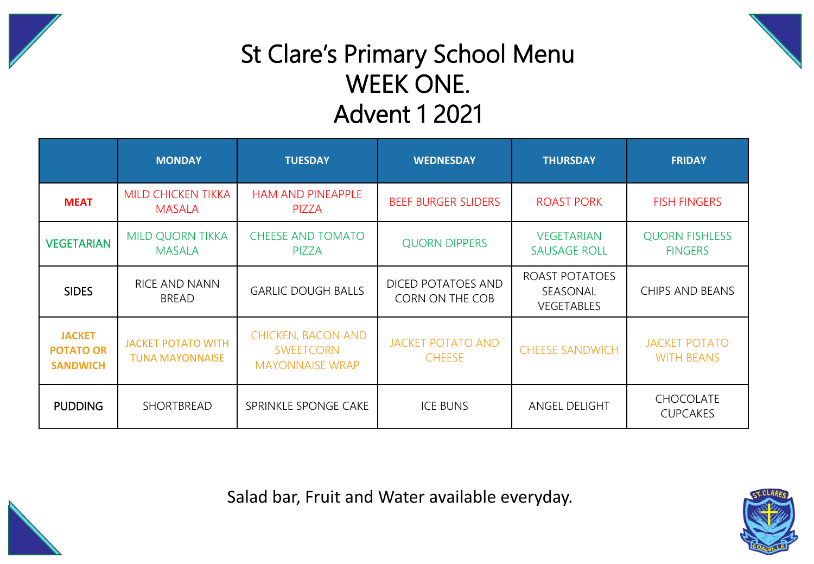



## St Clare's Primary School Menu WEEK ONE. Advent 1 2021

|                                                      | <b>MONDAY</b>                                       | <b>TUESDAY</b>                                                          | <b>WEDNESDAY</b>                          | <b>THURSDAY</b>                          | <b>FRIDAY</b>                             |
|------------------------------------------------------|-----------------------------------------------------|-------------------------------------------------------------------------|-------------------------------------------|------------------------------------------|-------------------------------------------|
| <b>MEAT</b>                                          | <b>MILD CHICKEN TIKKA</b><br><b>MASALA</b>          | <b>HAM AND PINEAPPLE</b><br><b>PIZZA</b>                                | <b>BEEF BURGER SLIDERS</b>                | <b>ROAST PORK</b>                        | <b>FISH FINGERS</b>                       |
| <b>VEGETARIAN</b>                                    | <b>MILD QUORN TIKKA</b><br><b>MASALA</b>            | <b>CHEESE AND TOMATO</b><br><b>PIZZA</b>                                | <b>QUORN DIPPERS</b>                      | <b>VEGETARIAN</b><br><b>SAUSAGE ROLL</b> | <b>QUORN FISHLESS</b><br><b>FINGERS</b>   |
| <b>SIDES</b>                                         | RICE AND NANN<br><b>BREAD</b>                       | <b>GARLIC DOUGH BALLS</b>                                               | DICED POTATOES AND<br>CORN ON THE COB     | ROAST POTATOES<br>SEASONAL<br>VEGETABLES | CHIPS AND BEANS                           |
| <b>JACKET</b><br><b>POTATO OR</b><br><b>SANDWICH</b> | <b>JACKET POTATO WITH</b><br><b>TUNA MAYONNAISE</b> | <b>CHICKEN, BACON AND</b><br><b>SWEETCORN</b><br><b>MAYONNAISE WRAP</b> | <b>JACKET POTATO AND</b><br><b>CHEESE</b> | <b>CHEESE SANDWICH</b>                   | <b>JACKET POTATO</b><br><b>WITH BEANS</b> |
| <b>PUDDING</b>                                       | SHORTBREAD                                          | SPRINKLE SPONGE CAKE                                                    | <b>ICE BUNS</b>                           | ANGEL DELIGHT                            | <b>CHOCOLATE</b><br><b>CUPCAKES</b>       |

Salad bar, Fruit and Water available everyday.